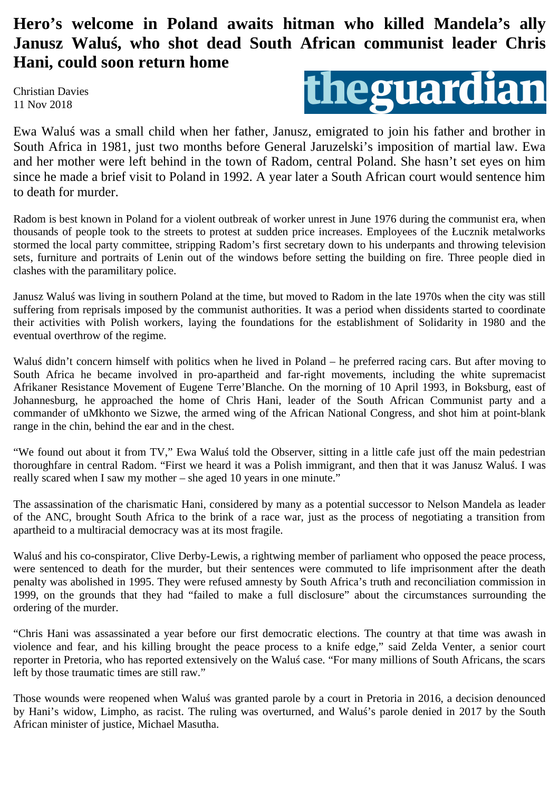## **Hero's welcome in Poland awaits hitman who killed Mandela's ally Janusz Waluś, who shot dead South African communist leader Chris Hani, could soon return home**

Christian Davies 11 Nov 2018



Ewa Waluś was a small child when her father, Janusz, emigrated to join his father and brother in South Africa in 1981, just two months before General Jaruzelski's imposition of martial law. Ewa and her mother were left behind in the town of Radom, central Poland. She hasn't set eyes on him since he made a brief visit to Poland in 1992. A year later a South African court would sentence him to death for murder.

Radom is best known in Poland for a violent outbreak of worker unrest in June 1976 during the communist era, when thousands of people took to the streets to protest at sudden price increases. Employees of the Łucznik metalworks stormed the local party committee, stripping Radom's first secretary down to his underpants and throwing television sets, furniture and portraits of Lenin out of the windows before setting the building on fire. Three people died in clashes with the paramilitary police.

Janusz Waluś was living in southern Poland at the time, but moved to Radom in the late 1970s when the city was still suffering from reprisals imposed by the communist authorities. It was a period when dissidents started to coordinate their activities with Polish workers, laying the foundations for the establishment of Solidarity in 1980 and the eventual overthrow of the regime.

Waluś didn't concern himself with politics when he lived in Poland – he preferred racing cars. But after moving to South Africa he became involved in pro-apartheid and far-right movements, including the white supremacist Afrikaner Resistance Movement of Eugene Terre'Blanche. On the morning of 10 April 1993, in Boksburg, east of Johannesburg, he approached the home of Chris Hani, leader of the South African Communist party and a commander of uMkhonto we Sizwe, the armed wing of the African National Congress, and shot him at point-blank range in the chin, behind the ear and in the chest.

"We found out about it from TV," Ewa Waluś told the Observer, sitting in a little cafe just off the main pedestrian thoroughfare in central Radom. "First we heard it was a Polish immigrant, and then that it was Janusz Waluś. I was really scared when I saw my mother – she aged 10 years in one minute."

The assassination of the charismatic Hani, considered by many as a potential successor to Nelson Mandela as leader of the ANC, brought South Africa to the brink of a race war, just as the process of negotiating a transition from apartheid to a multiracial democracy was at its most fragile.

Waluś and his co-conspirator, Clive Derby-Lewis, a rightwing member of parliament who opposed the peace process, were sentenced to death for the murder, but their sentences were commuted to life imprisonment after the death penalty was abolished in 1995. They were refused amnesty by South Africa's truth and reconciliation commission in 1999, on the grounds that they had "failed to make a full disclosure" about the circumstances surrounding the ordering of the murder.

"Chris Hani was assassinated a year before our first democratic elections. The country at that time was awash in violence and fear, and his killing brought the peace process to a knife edge," said Zelda Venter, a senior court reporter in Pretoria, who has reported extensively on the Waluś case. "For many millions of South Africans, the scars left by those traumatic times are still raw."

Those wounds were reopened when Waluś was granted parole by a court in Pretoria in 2016, a decision denounced by Hani's widow, Limpho, as racist. The ruling was overturned, and Waluś's parole denied in 2017 by the South African minister of justice, Michael Masutha.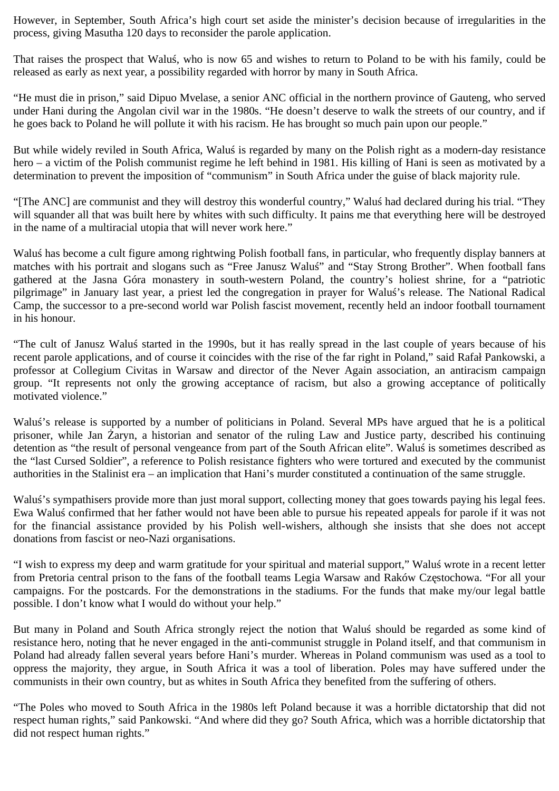However, in September, South Africa's high court set aside the minister's decision because of irregularities in the process, giving Masutha 120 days to reconsider the parole application.

That raises the prospect that Waluś, who is now 65 and wishes to return to Poland to be with his family, could be released as early as next year, a possibility regarded with horror by many in South Africa.

"He must die in prison," said Dipuo Mvelase, a senior ANC official in the northern province of Gauteng, who served under Hani during the Angolan civil war in the 1980s. "He doesn't deserve to walk the streets of our country, and if he goes back to Poland he will pollute it with his racism. He has brought so much pain upon our people."

But while widely reviled in South Africa, Waluś is regarded by many on the Polish right as a modern-day resistance hero – a victim of the Polish communist regime he left behind in 1981. His killing of Hani is seen as motivated by a determination to prevent the imposition of "communism" in South Africa under the guise of black majority rule.

"[The ANC] are communist and they will destroy this wonderful country," Waluś had declared during his trial. "They will squander all that was built here by whites with such difficulty. It pains me that everything here will be destroyed in the name of a multiracial utopia that will never work here."

Waluś has become a cult figure among rightwing Polish football fans, in particular, who frequently display banners at matches with his portrait and slogans such as "Free Janusz Waluś" and "Stay Strong Brother". When football fans gathered at the Jasna Góra monastery in south-western Poland, the country's holiest shrine, for a "patriotic pilgrimage" in January last year, a priest led the congregation in prayer for Waluś's release. The National Radical Camp, the successor to a pre-second world war Polish fascist movement, recently held an indoor football tournament in his honour.

"The cult of Janusz Waluś started in the 1990s, but it has really spread in the last couple of years because of his recent parole applications, and of course it coincides with the rise of the far right in Poland," said Rafał Pankowski, a professor at Collegium Civitas in Warsaw and director of the Never Again association, an antiracism campaign group. "It represents not only the growing acceptance of racism, but also a growing acceptance of politically motivated violence."

Waluś's release is supported by a number of politicians in Poland. Several MPs have argued that he is a political prisoner, while Jan Żaryn, a historian and senator of the ruling Law and Justice party, described his continuing detention as "the result of personal vengeance from part of the South African elite". Waluś is sometimes described as the "last Cursed Soldier", a reference to Polish resistance fighters who were tortured and executed by the communist authorities in the Stalinist era – an implication that Hani's murder constituted a continuation of the same struggle.

Waluś's sympathisers provide more than just moral support, collecting money that goes towards paying his legal fees. Ewa Waluś confirmed that her father would not have been able to pursue his repeated appeals for parole if it was not for the financial assistance provided by his Polish well-wishers, although she insists that she does not accept donations from fascist or neo-Nazi organisations.

"I wish to express my deep and warm gratitude for your spiritual and material support," Waluś wrote in a recent letter from Pretoria central prison to the fans of the football teams Legia Warsaw and Raków Częstochowa. "For all your campaigns. For the postcards. For the demonstrations in the stadiums. For the funds that make my/our legal battle possible. I don't know what I would do without your help."

But many in Poland and South Africa strongly reject the notion that Waluś should be regarded as some kind of resistance hero, noting that he never engaged in the anti-communist struggle in Poland itself, and that communism in Poland had already fallen several years before Hani's murder. Whereas in Poland communism was used as a tool to oppress the majority, they argue, in South Africa it was a tool of liberation. Poles may have suffered under the communists in their own country, but as whites in South Africa they benefited from the suffering of others.

"The Poles who moved to South Africa in the 1980s left Poland because it was a horrible dictatorship that did not respect human rights," said Pankowski. "And where did they go? South Africa, which was a horrible dictatorship that did not respect human rights."